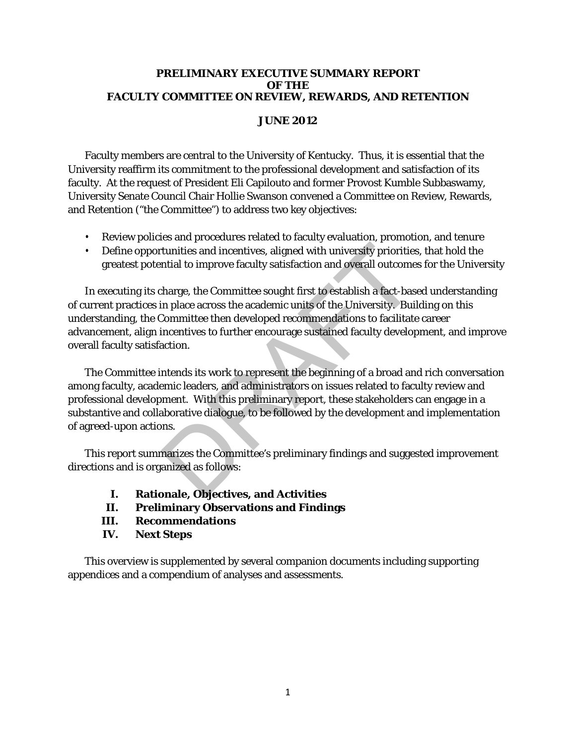#### **PRELIMINARY EXECUTIVE SUMMARY REPORT OF THE FACULTY COMMITTEE ON REVIEW, REWARDS, AND RETENTION**

## **JUNE 2012**

Faculty members are central to the University of Kentucky. Thus, it is essential that the University reaffirm its commitment to the professional development and satisfaction of its faculty. At the request of President Eli Capilouto and former Provost Kumble Subbaswamy, University Senate Council Chair Hollie Swanson convened a Committee on Review, Rewards, and Retention ("the Committee") to address two key objectives:

- Review policies and procedures related to faculty evaluation, promotion, and tenure
- Define opportunities and incentives, aligned with university priorities, that hold the greatest potential to improve faculty satisfaction and overall outcomes for the University

In executing its charge, the Committee sought first to establish a fact-based understanding of current practices in place across the academic units of the University. Building on this understanding, the Committee then developed recommendations to facilitate career advancement, align incentives to further encourage sustained faculty development, and improve overall faculty satisfaction. tunities and incentives, aligned with university priorities<br>ntial to improve faculty satisfaction and overall outcome<br>tharge, the Committee sought first to establish a fact-bas<br>in place across the academic units of the Uni

The Committee intends its work to represent the beginning of a broad and rich conversation among faculty, academic leaders, and administrators on issues related to faculty review and professional development. With this preliminary report, these stakeholders can engage in a substantive and collaborative dialogue, to be followed by the development and implementation of agreed-upon actions.

This report summarizes the Committee's preliminary findings and suggested improvement directions and is organized as follows:

- **I. Rationale, Objectives, and Activities**
- **II. Preliminary Observations and Findings**
- **III. Recommendations**
- **IV. Next Steps**

This overview is supplemented by several companion documents including supporting appendices and a compendium of analyses and assessments.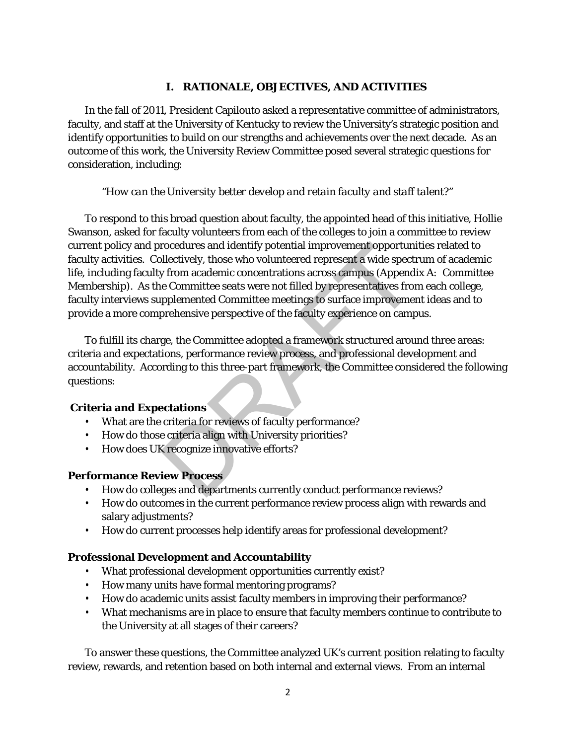### **I. RATIONALE, OBJECTIVES, AND ACTIVITIES**

In the fall of 2011, President Capilouto asked a representative committee of administrators, faculty, and staff at the University of Kentucky to review the University's strategic position and identify opportunities to build on our strengths and achievements over the next decade. As an outcome of this work, the University Review Committee posed several strategic questions for consideration, including:

### "*How can the University better develop and retain faculty and staff talent?"*

To respond to this broad question about faculty, the appointed head of this initiative, Hollie Swanson, asked for faculty volunteers from each of the colleges to join a committee to review current policy and procedures and identify potential improvement opportunities related to faculty activities. Collectively, those who volunteered represent a wide spectrum of academic life, including faculty from academic concentrations across campus (*Appendix A: Committee Membership*). As the Committee seats were not filled by representatives from each college, faculty interviews supplemented Committee meetings to surface improvement ideas and to provide a more comprehensive perspective of the faculty experience on campus. rocedures and identify potential improvement opportunified improvement opportunified virtual improvement and spect y from academic concentrations across campus (*Append* e Committee seats were not filled by representatives

To fulfill its charge, the Committee adopted a framework structured around three areas: criteria and expectations, performance review process, and professional development and accountability. According to this three-part framework, the Committee considered the following questions:

#### **Criteria and Expectations**

- What are the criteria for reviews of faculty performance?
- How do those criteria align with University priorities?
- How does UK recognize innovative efforts?

### **Performance Review Process**

- How do colleges and departments currently conduct performance reviews?
- How do outcomes in the current performance review process align with rewards and salary adjustments?
- How do current processes help identify areas for professional development?

### **Professional Development and Accountability**

- What professional development opportunities currently exist?
- How many units have formal mentoring programs?
- How do academic units assist faculty members in improving their performance?
- What mechanisms are in place to ensure that faculty members continue to contribute to the University at all stages of their careers?

To answer these questions, the Committee analyzed UK's current position relating to faculty review, rewards, and retention based on both internal and external views. From an internal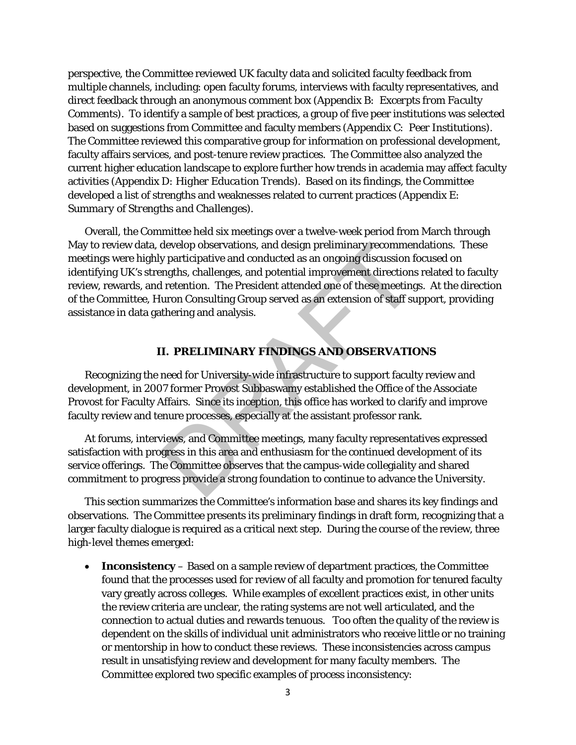perspective, the Committee reviewed UK faculty data and solicited faculty feedback from multiple channels, including: open faculty forums, interviews with faculty representatives, and direct feedback through an anonymous comment box (*Appendix B: Excerpts from Faculty Comments*). To identify a sample of best practices, a group of five peer institutions was selected based on suggestions from Committee and faculty members (*Appendix C: Peer Institutions*). The Committee reviewed this comparative group for information on professional development, faculty affairs services, and post-tenure review practices. The Committee also analyzed the current higher education landscape to explore further how trends in academia may affect faculty activities (*Appendix D: Higher Education Trends*). Based on its findings, the Committee developed a list of strengths and weaknesses related to current practices (*Appendix E: Summary of Strengths and Challenges*).

Overall, the Committee held six meetings over a twelve-week period from March through May to review data, develop observations, and design preliminary recommendations. These meetings were highly participative and conducted as an ongoing discussion focused on identifying UK's strengths, challenges, and potential improvement directions related to faculty review, rewards, and retention. The President attended one of these meetings. At the direction of the Committee, Huron Consulting Group served as an extension of staff support, providing assistance in data gathering and analysis. develop observations, and design preliminary recomment<br>ty participative and conducted as an ongoing discussion f<br>ngths, challenges, and potential improvement directions<br>left retention. The President attended one of these m

#### **II. PRELIMINARY FINDINGS AND OBSERVATIONS**

Recognizing the need for University-wide infrastructure to support faculty review and development, in 2007 former Provost Subbaswamy established the Office of the Associate Provost for Faculty Affairs. Since its inception, this office has worked to clarify and improve faculty review and tenure processes, especially at the assistant professor rank.

At forums, interviews, and Committee meetings, many faculty representatives expressed satisfaction with progress in this area and enthusiasm for the continued development of its service offerings. The Committee observes that the campus-wide collegiality and shared commitment to progress provide a strong foundation to continue to advance the University.

This section summarizes the Committee's information base and shares its key findings and observations. The Committee presents its preliminary findings in draft form, recognizing that a larger faculty dialogue is required as a critical next step. During the course of the review, three high-level themes emerged:

• **Inconsistency** – Based on a sample review of department practices, the Committee found that the processes used for review of all faculty and promotion for tenured faculty vary greatly across colleges. While examples of excellent practices exist, in other units the review criteria are unclear, the rating systems are not well articulated, and the connection to actual duties and rewards tenuous. Too often the quality of the review is dependent on the skills of individual unit administrators who receive little or no training or mentorship in how to conduct these reviews. These inconsistencies across campus result in unsatisfying review and development for many faculty members. The Committee explored two specific examples of process inconsistency: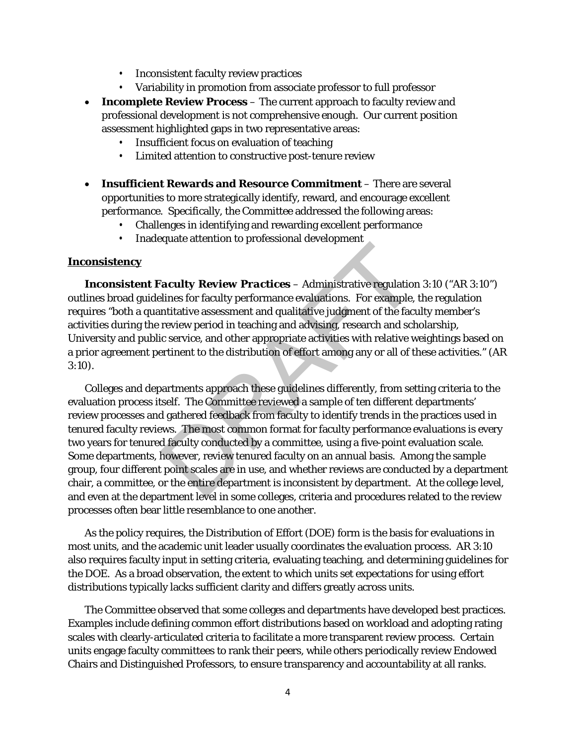- Inconsistent faculty review practices
- Variability in promotion from associate professor to full professor
- **Incomplete Review Process** The current approach to faculty review and professional development is not comprehensive enough. Our current position assessment highlighted gaps in two representative areas:
	- Insufficient focus on evaluation of teaching
	- Limited attention to constructive post-tenure review
- **Insufficient Rewards and Resource Commitment** There are several opportunities to more strategically identify, reward, and encourage excellent performance. Specifically, the Committee addressed the following areas:
	- Challenges in identifying and rewarding excellent performance
	- Inadequate attention to professional development

#### **Inconsistency**

*Inconsistent Faculty Review Practices –* Administrative regulation 3:10 ("AR 3:10") outlines broad guidelines for faculty performance evaluations. For example, the regulation requires "both a quantitative assessment and qualitative judgment of the faculty member's activities during the review period in teaching and advising, research and scholarship, University and public service, and other appropriate activities with relative weightings based on a prior agreement pertinent to the distribution of effort among any or all of these activities." (AR 3:10).

Colleges and departments approach these guidelines differently, from setting criteria to the evaluation process itself. The Committee reviewed a sample of ten different departments' review processes and gathered feedback from faculty to identify trends in the practices used in tenured faculty reviews. The most common format for faculty performance evaluations is every two years for tenured faculty conducted by a committee, using a five-point evaluation scale. Some departments, however, review tenured faculty on an annual basis. Among the sample group, four different point scales are in use, and whether reviews are conducted by a department chair, a committee, or the entire department is inconsistent by department. At the college level, and even at the department level in some colleges, criteria and procedures related to the review processes often bear little resemblance to one another. Facture and the processional development<br>
Saculty Review Practices – Administrative regulation<br>
lines for faculty performance evaluations. For example,<br>
ntitative assessment and qualitative judgment of the fact<br>
review per

As the policy requires, the Distribution of Effort (DOE) form is the basis for evaluations in most units, and the academic unit leader usually coordinates the evaluation process. AR 3:10 also requires faculty input in setting criteria, evaluating teaching, and determining guidelines for the DOE. As a broad observation, the extent to which units set expectations for using effort distributions typically lacks sufficient clarity and differs greatly across units.

The Committee observed that some colleges and departments have developed best practices. Examples include defining common effort distributions based on workload and adopting rating scales with clearly-articulated criteria to facilitate a more transparent review process. Certain units engage faculty committees to rank their peers, while others periodically review Endowed Chairs and Distinguished Professors, to ensure transparency and accountability at all ranks.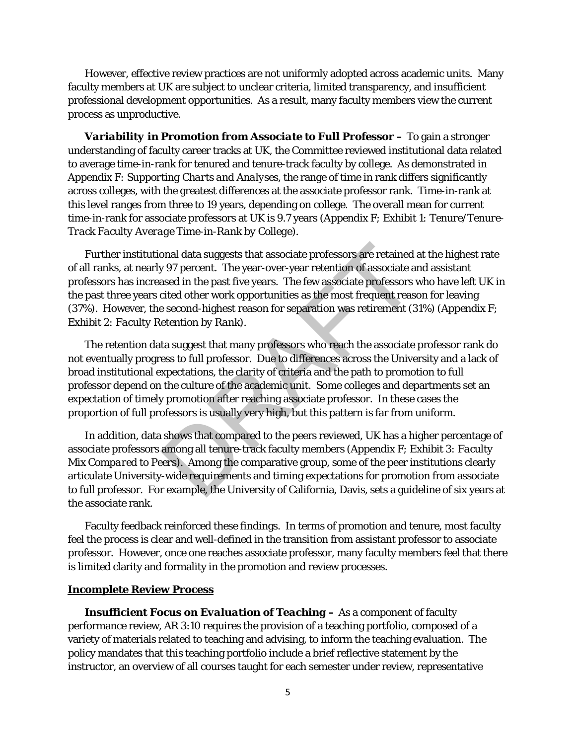However, effective review practices are not uniformly adopted across academic units. Many faculty members at UK are subject to unclear criteria, limited transparency, and insufficient professional development opportunities. As a result, many faculty members view the current process as unproductive.

*Variability in Promotion from Associate to Full Professor –* To gain a stronger understanding of faculty career tracks at UK, the Committee reviewed institutional data related to average time-in-rank for tenured and tenure-track faculty by college. As demonstrated in *Appendix F: Supporting Charts and Analyses*, the range of time in rank differs significantly across colleges, with the greatest differences at the associate professor rank. Time-in-rank at this level ranges from three to 19 years, depending on college. The overall mean for current time-in-rank for associate professors at UK is 9.7 years (*Appendix F; Exhibit 1: Tenure/Tenure-Track Faculty Average Time-in-Rank by College*).

Further institutional data suggests that associate professors are retained at the highest rate of all ranks, at nearly 97 percent. The year-over-year retention of associate and assistant professors has increased in the past five years. The few associate professors who have left UK in the past three years cited other work opportunities as the most frequent reason for leaving (37%). However, the second-highest reason for separation was retirement (31%) (*Appendix F; Exhibit 2: Faculty Retention by Rank*).

The retention data suggest that many professors who reach the associate professor rank do not eventually progress to full professor. Due to differences across the University and a lack of broad institutional expectations, the clarity of criteria and the path to promotion to full professor depend on the culture of the academic unit. Some colleges and departments set an expectation of timely promotion after reaching associate professor. In these cases the proportion of full professors is usually very high, but this pattern is far from uniform. onal data suggests that associate professors are retained<br>y 97 percent. The year-over-year retention of associate a<br>ased in the past five years. The few associate professors<br>orited other work opportunities as the most freq

In addition, data shows that compared to the peers reviewed, UK has a higher percentage of associate professors among all tenure-track faculty members (*Appendix F; Exhibit 3: Faculty Mix Compared to Peers*). Among the comparative group, some of the peer institutions clearly articulate University-wide requirements and timing expectations for promotion from associate to full professor. For example, the University of California, Davis, sets a guideline of six years at the associate rank.

Faculty feedback reinforced these findings. In terms of promotion and tenure, most faculty feel the process is clear and well-defined in the transition from assistant professor to associate professor. However, once one reaches associate professor, many faculty members feel that there is limited clarity and formality in the promotion and review processes.

#### **Incomplete Review Process**

*Insufficient Focus on Evaluation of Teaching* **–** As a component of faculty performance review, AR 3:10 requires the provision of a teaching portfolio, composed of a variety of materials related to teaching and advising, to inform the teaching evaluation. The policy mandates that this teaching portfolio include a brief reflective statement by the instructor, an overview of all courses taught for each semester under review, representative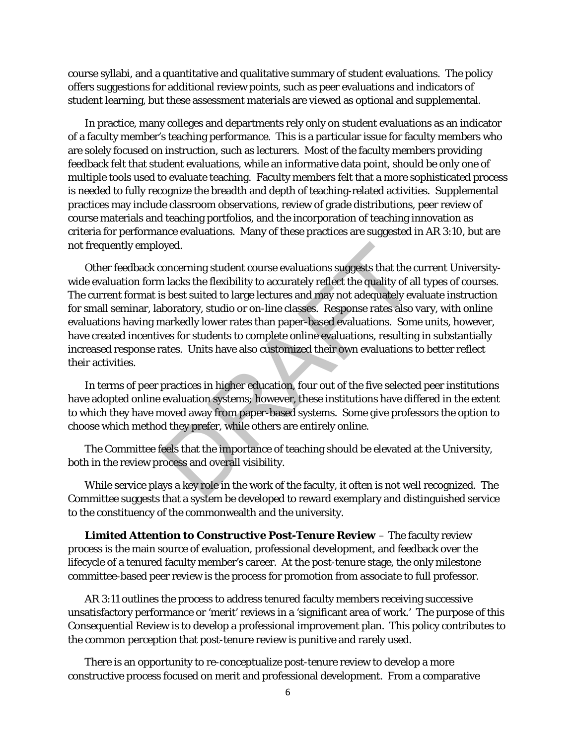course syllabi, and a quantitative and qualitative summary of student evaluations. The policy offers suggestions for additional review points, such as peer evaluations and indicators of student learning, but these assessment materials are viewed as optional and supplemental.

In practice, many colleges and departments rely only on student evaluations as an indicator of a faculty member's teaching performance. This is a particular issue for faculty members who are solely focused on instruction, such as lecturers. Most of the faculty members providing feedback felt that student evaluations, while an informative data point, should be only one of multiple tools used to evaluate teaching. Faculty members felt that a more sophisticated process is needed to fully recognize the breadth and depth of teaching-related activities. Supplemental practices may include classroom observations, review of grade distributions, peer review of course materials and teaching portfolios, and the incorporation of teaching innovation as criteria for performance evaluations. Many of these practices are suggested in AR 3:10, but are not frequently employed.

Other feedback concerning student course evaluations suggests that the current Universitywide evaluation form lacks the flexibility to accurately reflect the quality of all types of courses. The current format is best suited to large lectures and may not adequately evaluate instruction for small seminar, laboratory, studio or on-line classes. Response rates also vary, with online evaluations having markedly lower rates than paper-based evaluations. Some units, however, have created incentives for students to complete online evaluations, resulting in substantially increased response rates. Units have also customized their own evaluations to better reflect their activities. byed.<br>
soncerning student course evaluations suggests that the concerning student course evaluations suggests that the collaboratory, studio or on-line classes. Response rates also barkedly lower rates than paper-based eva

In terms of peer practices in higher education, four out of the five selected peer institutions have adopted online evaluation systems; however, these institutions have differed in the extent to which they have moved away from paper-based systems. Some give professors the option to choose which method they prefer, while others are entirely online.

The Committee feels that the importance of teaching should be elevated at the University, both in the review process and overall visibility.

While service plays a key role in the work of the faculty, it often is not well recognized. The Committee suggests that a system be developed to reward exemplary and distinguished service to the constituency of the commonwealth and the university.

*Limited Attention to Constructive Post-Tenure Review* – The faculty review process is the main source of evaluation, professional development, and feedback over the lifecycle of a tenured faculty member's career. At the post-tenure stage, the only milestone committee-based peer review is the process for promotion from associate to full professor.

AR 3:11 outlines the process to address tenured faculty members receiving successive unsatisfactory performance or 'merit' reviews in a 'significant area of work.' The purpose of this Consequential Review is to develop a professional improvement plan. This policy contributes to the common perception that post-tenure review is punitive and rarely used.

There is an opportunity to re-conceptualize post-tenure review to develop a more constructive process focused on merit and professional development. From a comparative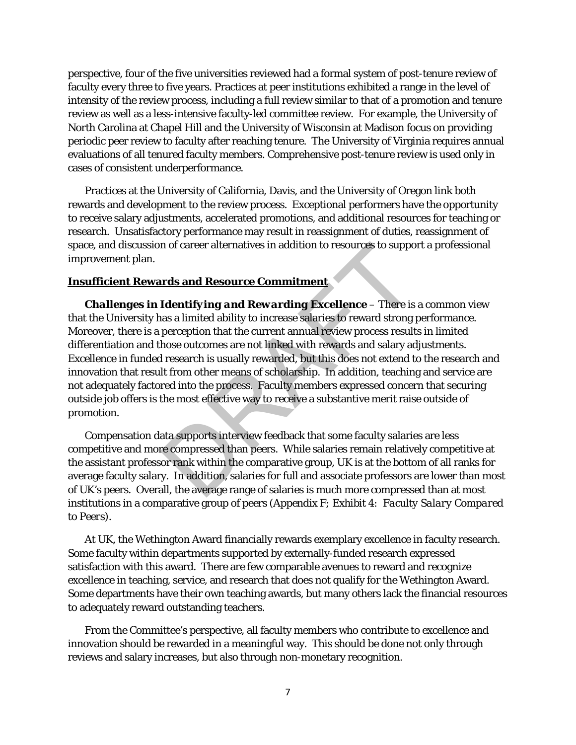perspective, four of the five universities reviewed had a formal system of post-tenure review of faculty every three to five years. Practices at peer institutions exhibited a range in the level of intensity of the review process, including a full review similar to that of a promotion and tenure review as well as a less-intensive faculty-led committee review. For example, the University of North Carolina at Chapel Hill and the University of Wisconsin at Madison focus on providing periodic peer review to faculty after reaching tenure. The University of Virginia requires annual evaluations of all tenured faculty members. Comprehensive post-tenure review is used only in cases of consistent underperformance.

Practices at the University of California, Davis, and the University of Oregon link both rewards and development to the review process. Exceptional performers have the opportunity to receive salary adjustments, accelerated promotions, and additional resources for teaching or research. Unsatisfactory performance may result in reassignment of duties, reassignment of space, and discussion of career alternatives in addition to resources to support a professional improvement plan.

### **Insufficient Rewards and Resource Commitment**

*Challenges in Identifying and Rewarding Excellence* – There is a common view that the University has a limited ability to increase salaries to reward strong performance. Moreover, there is a perception that the current annual review process results in limited differentiation and those outcomes are not linked with rewards and salary adjustments. Excellence in funded research is usually rewarded, but this does not extend to the research and innovation that result from other means of scholarship. In addition, teaching and service are not adequately factored into the process. Faculty members expressed concern that securing outside job offers is the most effective way to receive a substantive merit raise outside of promotion. n of career alternatives in addition to resources to suppo<br> **rds and Resource Commitment**<br> **Identifying and Rewarding Excellence** – There is<br>
as a limited ability to increase salaries to reward strong<br>
perception that the

Compensation data supports interview feedback that some faculty salaries are less competitive and more compressed than peers. While salaries remain relatively competitive at the assistant professor rank within the comparative group, UK is at the bottom of all ranks for average faculty salary. In addition, salaries for full and associate professors are lower than most of UK's peers. Overall, the average range of salaries is much more compressed than at most institutions in a comparative group of peers (*Appendix F; Exhibit 4: Faculty Salary Compared to Peers)*.

At UK, the Wethington Award financially rewards exemplary excellence in faculty research. Some faculty within departments supported by externally-funded research expressed satisfaction with this award. There are few comparable avenues to reward and recognize excellence in teaching, service, and research that does not qualify for the Wethington Award. Some departments have their own teaching awards, but many others lack the financial resources to adequately reward outstanding teachers.

From the Committee's perspective, all faculty members who contribute to excellence and innovation should be rewarded in a meaningful way. This should be done not only through reviews and salary increases, but also through non-monetary recognition.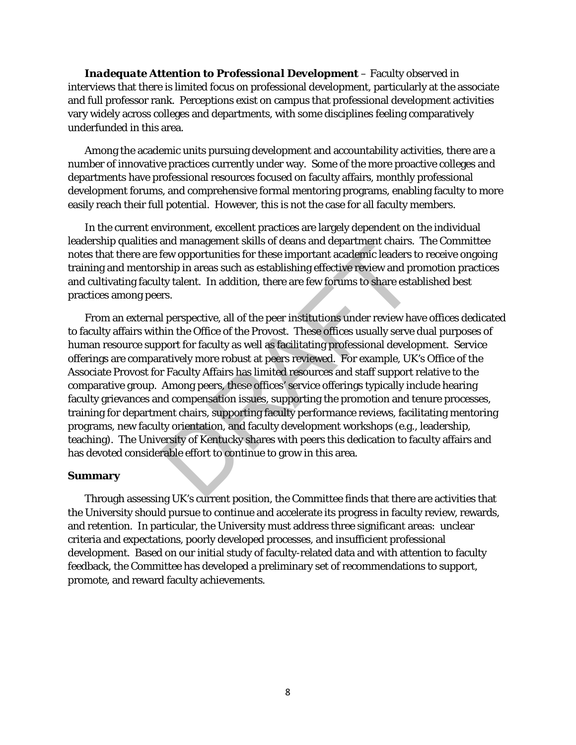*Inadequate Attention to Professional Development* – Faculty observed in interviews that there is limited focus on professional development, particularly at the associate and full professor rank. Perceptions exist on campus that professional development activities vary widely across colleges and departments, with some disciplines feeling comparatively underfunded in this area.

Among the academic units pursuing development and accountability activities, there are a number of innovative practices currently under way. Some of the more proactive colleges and departments have professional resources focused on faculty affairs, monthly professional development forums, and comprehensive formal mentoring programs, enabling faculty to more easily reach their full potential. However, this is not the case for all faculty members.

In the current environment, excellent practices are largely dependent on the individual leadership qualities and management skills of deans and department chairs. The Committee notes that there are few opportunities for these important academic leaders to receive ongoing training and mentorship in areas such as establishing effective review and promotion practices and cultivating faculty talent. In addition, there are few forums to share established best practices among peers.

From an external perspective, all of the peer institutions under review have offices dedicated to faculty affairs within the Office of the Provost. These offices usually serve dual purposes of human resource support for faculty as well as facilitating professional development. Service offerings are comparatively more robust at peers reviewed. For example, UK's Office of the Associate Provost for Faculty Affairs has limited resources and staff support relative to the comparative group. Among peers, these offices' service offerings typically include hearing faculty grievances and compensation issues, supporting the promotion and tenure processes, training for department chairs, supporting faculty performance reviews, facilitating mentoring programs, new faculty orientation, and faculty development workshops (e.g., leadership, teaching). The University of Kentucky shares with peers this dedication to faculty affairs and has devoted considerable effort to continue to grow in this area. and management skins of deals and department chans.<br>Eew opportunities for these important academic leaders t<br>ship in areas such as establishing effective review and pr<br>ty talent. In addition, there are few forums to share

#### **Summary**

Through assessing UK's current position, the Committee finds that there are activities that the University should pursue to continue and accelerate its progress in faculty review, rewards, and retention. In particular, the University must address three significant areas: unclear criteria and expectations, poorly developed processes, and insufficient professional development. Based on our initial study of faculty-related data and with attention to faculty feedback, the Committee has developed a preliminary set of recommendations to support, promote, and reward faculty achievements.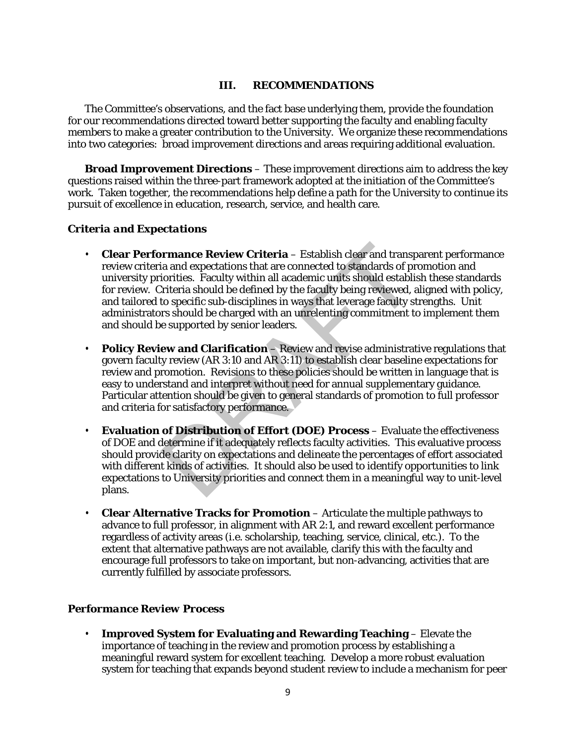#### **III. RECOMMENDATIONS**

The Committee's observations, and the fact base underlying them, provide the foundation for our recommendations directed toward better supporting the faculty and enabling faculty members to make a greater contribution to the University. We organize these recommendations into two categories: broad improvement directions and areas requiring additional evaluation.

**Broad Improvement Directions** – These improvement directions aim to address the key questions raised within the three-part framework adopted at the initiation of the Committee's work. Taken together, the recommendations help define a path for the University to continue its pursuit of excellence in education, research, service, and health care.

#### *Criteria and Expectations*

- **Clear Performance Review Criteria**  Establish clear and transparent performance review criteria and expectations that are connected to standards of promotion and university priorities. Faculty within all academic units should establish these standards for review. Criteria should be defined by the faculty being reviewed, aligned with policy, and tailored to specific sub-disciplines in ways that leverage faculty strengths. Unit administrators should be charged with an unrelenting commitment to implement them and should be supported by senior leaders. **Example Review Criteria – Establish clear and transplate and expectations that are connected to standards of priorities. Faculty within all academic units should establic iriteria should be defined by the faculty being re**
- **Policy Review and Clarification** Review and revise administrative regulations that govern faculty review (AR 3:10 and AR 3:11) to establish clear baseline expectations for review and promotion. Revisions to these policies should be written in language that is easy to understand and interpret without need for annual supplementary guidance. Particular attention should be given to general standards of promotion to full professor and criteria for satisfactory performance.
- **Evaluation of Distribution of Effort (DOE) Process**  Evaluate the effectiveness of DOE and determine if it adequately reflects faculty activities. This evaluative process should provide clarity on expectations and delineate the percentages of effort associated with different kinds of activities. It should also be used to identify opportunities to link expectations to University priorities and connect them in a meaningful way to unit-level plans.
- **Clear Alternative Tracks for Promotion**  Articulate the multiple pathways to advance to full professor, in alignment with AR 2:1, and reward excellent performance regardless of activity areas (i.e. scholarship, teaching, service, clinical, etc.). To the extent that alternative pathways are not available, clarify this with the faculty and encourage full professors to take on important, but non-advancing, activities that are currently fulfilled by associate professors.

#### *Performance Review Process*

• **Improved System for Evaluating and Rewarding Teaching** – Elevate the importance of teaching in the review and promotion process by establishing a meaningful reward system for excellent teaching. Develop a more robust evaluation system for teaching that expands beyond student review to include a mechanism for peer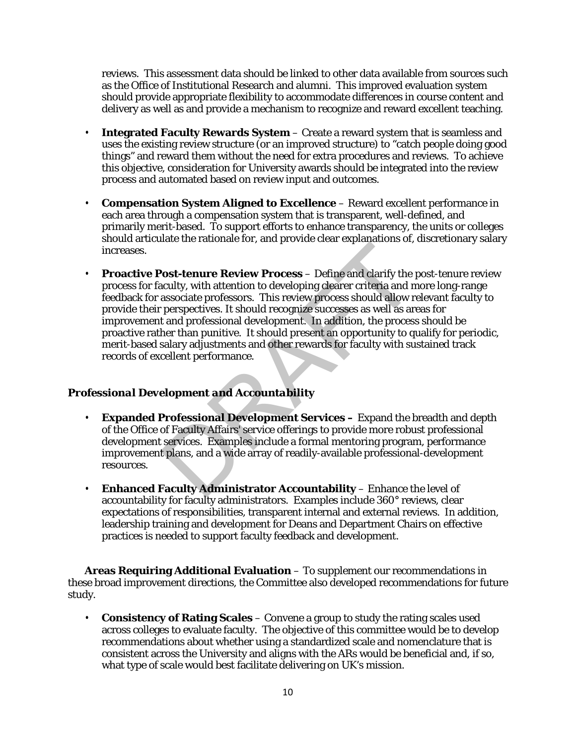reviews. This assessment data should be linked to other data available from sources such as the Office of Institutional Research and alumni. This improved evaluation system should provide appropriate flexibility to accommodate differences in course content and delivery as well as and provide a mechanism to recognize and reward excellent teaching.

- **Integrated Faculty Rewards System** Create a reward system that is seamless and uses the existing review structure (or an improved structure) to "catch people doing good things" and reward them without the need for extra procedures and reviews. To achieve this objective, consideration for University awards should be integrated into the review process and automated based on review input and outcomes.
- **Compensation System Aligned to Excellence**  Reward excellent performance in each area through a compensation system that is transparent, well-defined, and primarily merit-based. To support efforts to enhance transparency, the units or colleges should articulate the rationale for, and provide clear explanations of, discretionary salary increases.
- **Proactive Post-tenure Review Process** Define and clarify the post-tenure review process for faculty, with attention to developing clearer criteria and more long-range feedback for associate professors. This review process should allow relevant faculty to provide their perspectives. It should recognize successes as well as areas for improvement and professional development. In addition, the process should be proactive rather than punitive. It should present an opportunity to qualify for periodic, merit-based salary adjustments and other rewards for faculty with sustained track records of excellent performance. **Professional Development Services - Expanding for Federal Service Section**<br> **Professor And Accounts and Accounts** and the associate professors. This review process should allow represe<br>
prespectives. It should recognize s

# *Professional Development and Accountability*

- **Expanded Professional Development Services –** Expand the breadth and depth of the Office of Faculty Affairs' service offerings to provide more robust professional development services. Examples include a formal mentoring program, performance improvement plans, and a wide array of readily-available professional-development resources.
- **Enhanced Faculty Administrator Accountability** Enhance the level of accountability for faculty administrators. Examples include 360° reviews, clear expectations of responsibilities, transparent internal and external reviews. In addition, leadership training and development for Deans and Department Chairs on effective practices is needed to support faculty feedback and development.

**Areas Requiring Additional Evaluation** – To supplement our recommendations in these broad improvement directions, the Committee also developed recommendations for future study.

• **Consistency of Rating Scales** – Convene a group to study the rating scales used across colleges to evaluate faculty. The objective of this committee would be to develop recommendations about whether using a standardized scale and nomenclature that is consistent across the University and aligns with the ARs would be beneficial and, if so, what type of scale would best facilitate delivering on UK's mission.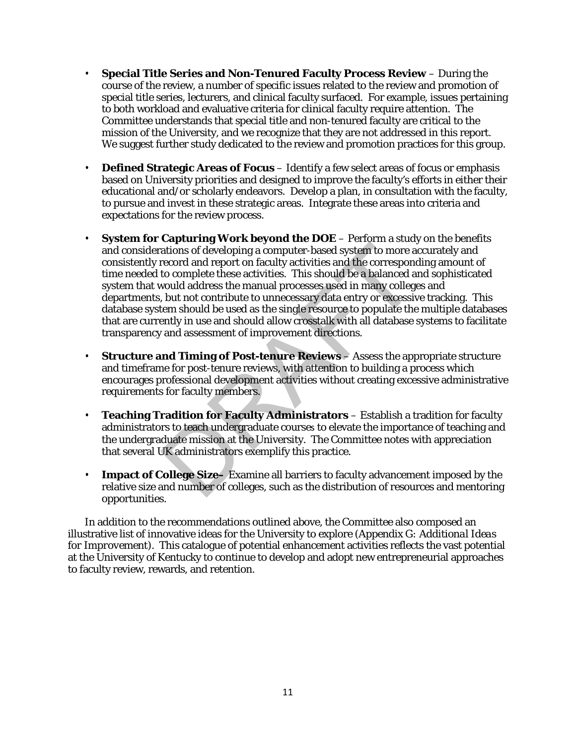- **Special Title Series and Non-Tenured Faculty Process Review** During the course of the review, a number of specific issues related to the review and promotion of special title series, lecturers, and clinical faculty surfaced. For example, issues pertaining to both workload and evaluative criteria for clinical faculty require attention. The Committee understands that special title and non-tenured faculty are critical to the mission of the University, and we recognize that they are not addressed in this report. We suggest further study dedicated to the review and promotion practices for this group.
- **Defined Strategic Areas of Focus** Identify a few select areas of focus or emphasis based on University priorities and designed to improve the faculty's efforts in either their educational and/or scholarly endeavors. Develop a plan, in consultation with the faculty, to pursue and invest in these strategic areas. Integrate these areas into criteria and expectations for the review process.
- **System for Capturing Work beyond the DOE** Perform a study on the benefits and considerations of developing a computer-based system to more accurately and consistently record and report on faculty activities and the corresponding amount of time needed to complete these activities. This should be a balanced and sophisticated system that would address the manual processes used in many colleges and departments, but not contribute to unnecessary data entry or excessive tracking. This database system should be used as the single resource to populate the multiple databases that are currently in use and should allow crosstalk with all database systems to facilitate transparency and assessment of improvement directions. **Example 19 Four Experiment States and States and States of developing a computer-based system to more a**<br>record and report on faculty activities and the correspon-<br>to complete these activities. This should be a balanced a
- **Structure and Timing of Post-tenure Reviews** Assess the appropriate structure and timeframe for post-tenure reviews, with attention to building a process which encourages professional development activities without creating excessive administrative requirements for faculty members.
- **Teaching Tradition for Faculty Administrators**  Establish a tradition for faculty administrators to teach undergraduate courses to elevate the importance of teaching and the undergraduate mission at the University. The Committee notes with appreciation that several UK administrators exemplify this practice.
- **Impact of College Size–** Examine all barriers to faculty advancement imposed by the relative size and number of colleges, such as the distribution of resources and mentoring opportunities.

In addition to the recommendations outlined above, the Committee also composed an illustrative list of innovative ideas for the University to explore (*Appendix G: Additional Ideas for Improvement*). This catalogue of potential enhancement activities reflects the vast potential at the University of Kentucky to continue to develop and adopt new entrepreneurial approaches to faculty review, rewards, and retention.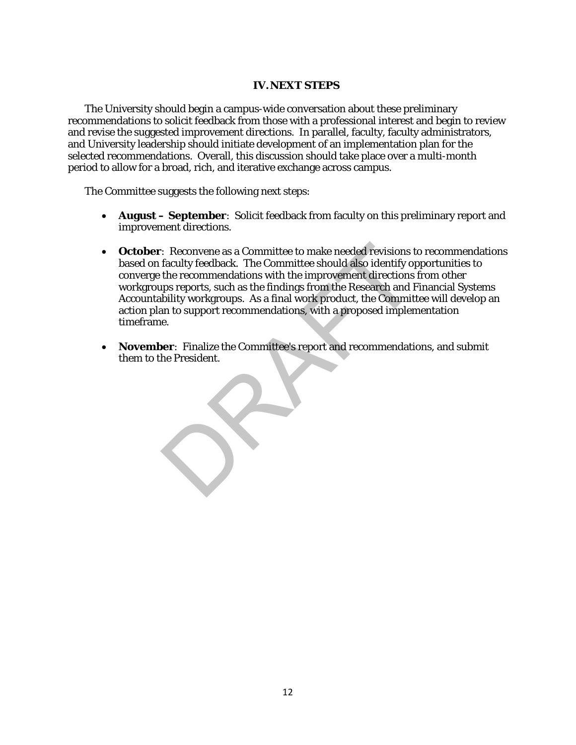#### **IV.NEXT STEPS**

The University should begin a campus-wide conversation about these preliminary recommendations to solicit feedback from those with a professional interest and begin to review and revise the suggested improvement directions. In parallel, faculty, faculty administrators, and University leadership should initiate development of an implementation plan for the selected recommendations. Overall, this discussion should take place over a multi-month period to allow for a broad, rich, and iterative exchange across campus.

The Committee suggests the following next steps:

- **August – September**: Solicit feedback from faculty on this preliminary report and improvement directions.
- **October**: Reconvene as a Committee to make needed revisions to recommendations based on faculty feedback. The Committee should also identify opportunities to converge the recommendations with the improvement directions from other workgroups reports, such as the findings from the Research and Financial Systems Accountability workgroups. As a final work product, the Committee will develop an action plan to support recommendations, with a proposed implementation timeframe. Example as a Committee to make needed revisions the faculty feedback. The Committee should also identify of the recommendations with the improvement directions ups reports, such as the findings from the Research and F bili
- **November**: Finalize the Committee's report and recommendations, and submit them to the President.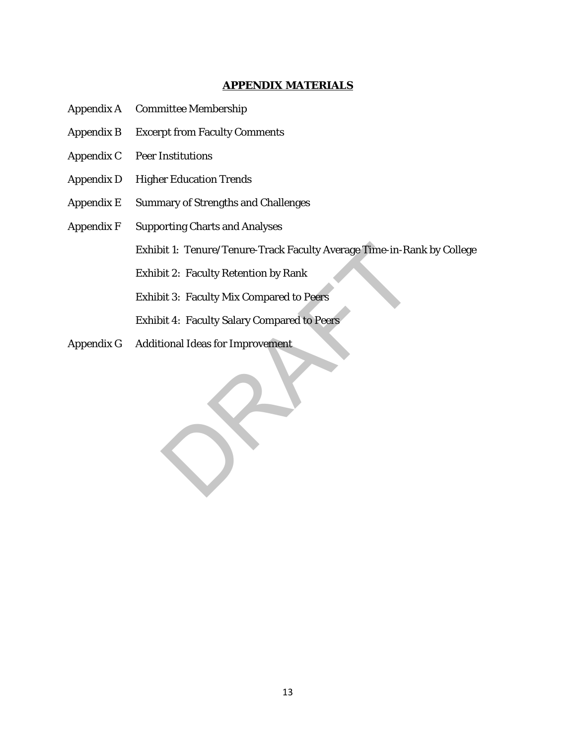#### **APPENDIX MATERIALS**

- Appendix A Committee Membership
- Appendix B Excerpt from Faculty Comments
- Appendix C Peer Institutions
- Appendix D Higher Education Trends
- Appendix E Summary of Strengths and Challenges
- Appendix F Supporting Charts and Analyses

Exhibit 1: Tenure/Tenure-Track Faculty Average Time-in-Rank by College oit 1: Tenure/Tenure-Track Faculty Average Time-in-Ray<br>bit 2: Faculty Retention by Rank<br>bit 3: Faculty Mix Compared to Peers<br>bit 4: Faculty Salary Compared to Peers<br>ional Ideas for Improvement

Exhibit 2: Faculty Retention by Rank

Exhibit 3: Faculty Mix Compared to Peers

Exhibit 4: Faculty Salary Compared to Peers

Appendix G Additional Ideas for Improvement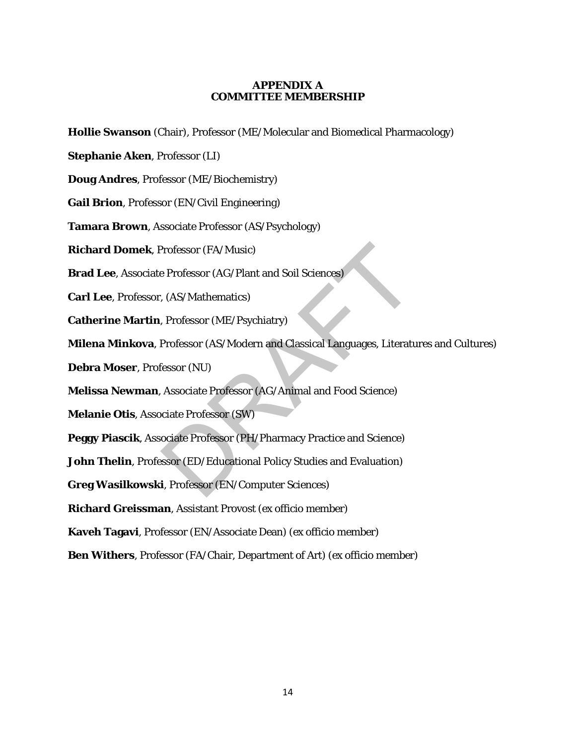#### **APPENDIX A COMMITTEE MEMBERSHIP**

**Hollie Swanson** (Chair), Professor (ME/Molecular and Biomedical Pharmacology)

**Stephanie Aken**, Professor (LI)

**Doug Andres**, Professor (ME/Biochemistry)

**Gail Brion**, Professor (EN/Civil Engineering)

**Tamara Brown**, Associate Professor (AS/Psychology)

**Richard Domek**, Professor (FA/Music)

**Brad Lee**, Associate Professor (AG/Plant and Soil Sciences)

**Carl Lee**, Professor, (AS/Mathematics)

**Catherine Martin**, Professor (ME/Psychiatry)

**Milena Minkova**, Professor (AS/Modern and Classical Languages, Literatures and Cultures) Professor (FA/Music)<br>
e Professor (AG/Plant and Soil Sciences)<br>
, (AS/Mathematics)<br>
Professor (ME/Psychiatry)<br>
Professor (AS/Modern and Classical Languages, Literature<br>
Fessor (NU)<br>
Associate Professor (AG/Animal and Food

**Debra Moser**, Professor (NU)

**Melissa Newman**, Associate Professor (AG/Animal and Food Science)

**Melanie Otis**, Associate Professor (SW)

**Peggy Piascik**, Associate Professor (PH/Pharmacy Practice and Science)

**John Thelin**, Professor (ED/Educational Policy Studies and Evaluation)

**Greg Wasilkowski**, Professor (EN/Computer Sciences)

**Richard Greissman**, Assistant Provost (ex officio member)

**Kaveh Tagavi**, Professor (EN/Associate Dean) (ex officio member)

**Ben Withers**, Professor (FA/Chair, Department of Art) (ex officio member)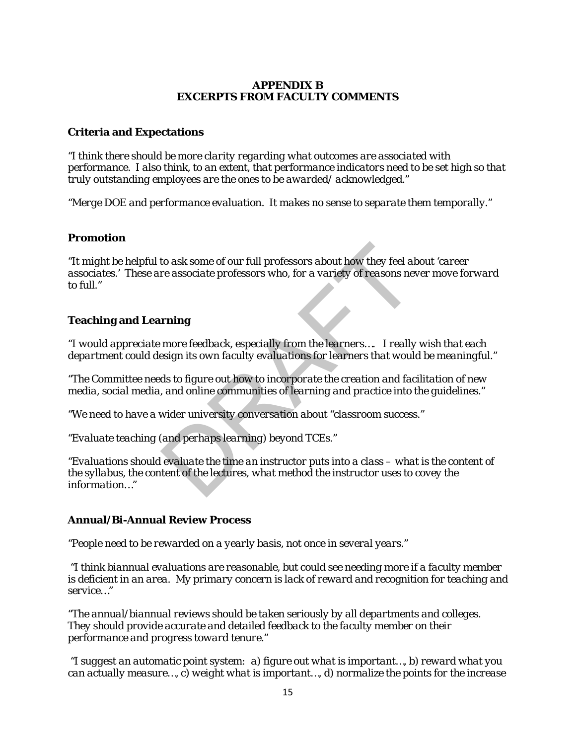### **APPENDIX B EXCERPTS FROM FACULTY COMMENTS**

### **Criteria and Expectations**

*"I think there should be more clarity regarding what outcomes are associated with performance. I also think, to an extent, that performance indicators need to be set high so that truly outstanding employees are the ones to be awarded/ acknowledged."*

*"Merge DOE and performance evaluation. It makes no sense to separate them temporally."*

#### **Promotion**

*"It might be helpful to ask some of our full professors about how they feel about 'career associates.' These are associate professors who, for a variety of reasons never move forward to full."* to ask some of our full professors about how they feel al<br>re associate professors who, for a variety of reasons nev<br>**rning**<br>more feedback, especially from the learners.... I really<br>esign its own faculty evaluations for lea

### **Teaching and Learning**

"*I would appreciate more feedback, especially from the learners…. I really wish that each department could design its own faculty evaluations for learners that would be meaningful."*

*"The Committee needs to figure out how to incorporate the creation and facilitation of new media, social media, and online communities of learning and practice into the guidelines."*

*"We need to have a wider university conversation about "classroom success."*

*"Evaluate teaching (and perhaps learning) beyond TCEs."*

*"Evaluations should evaluate the time an instructor puts into a class – what is the content of the syllabus, the content of the lectures, what method the instructor uses to covey the information…"*

#### **Annual/Bi-Annual Review Process**

*"People need to be rewarded on a yearly basis, not once in several years."*

*"I think biannual evaluations are reasonable, but could see needing more if a faculty member is deficient in an area. My primary concern is lack of reward and recognition for teaching and service…"*

*"The annual/biannual reviews should be taken seriously by all departments and colleges. They should provide accurate and detailed feedback to the faculty member on their performance and progress toward tenure."*

*"I suggest an automatic point system: a) figure out what is important…, b) reward what you can actually measure…, c) weight what is important…, d) normalize the points for the increase*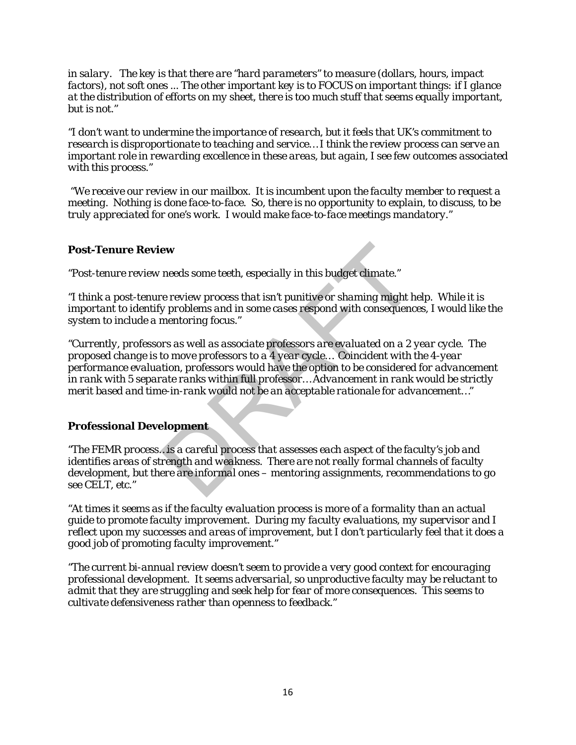*in salary. The key is that there are "hard parameters" to measure (dollars, hours, impact factors), not soft ones ... The other important key is to FOCUS on important things: if I glance at the distribution of efforts on my sheet, there is too much stuff that seems equally important, but is not."*

*"I don't want to undermine the importance of research, but it feels that UK's commitment to research is disproportionate to teaching and service… I think the review process can serve an important role in rewarding excellence in these areas, but again, I see few outcomes associated with this process."*

*"We receive our review in our mailbox. It is incumbent upon the faculty member to request a meeting. Nothing is done face-to-face. So, there is no opportunity to explain, to discuss, to be truly appreciated for one's work. I would make face-to-face meetings mandatory."*

### **Post-Tenure Review**

*"Post-tenure review needs some teeth, especially in this budget climate."*

*"I think a post-tenure review process that isn't punitive or shaming might help. While it is important to identify problems and in some cases respond with consequences, I would like the system to include a mentoring focus."*

*"Currently, professors as well as associate professors are evaluated on a 2 year cycle. The proposed change is to move professors to a 4 year cycle… Coincident with the 4-year performance evaluation, professors would have the option to be considered for advancement in rank with 5 separate ranks within full professor… Advancement in rank would be strictly merit based and time-in-rank would not be an acceptable rationale for advancement…"* **EXECUTE:**<br>
The area of the specially in this budget climate."<br>
The review process that isn't punitive or shaming might h<br>
in y problems and in some cases respond with consequence<br>
mentoring focus."<br>
DRAFT SERVIER SERVIER

### **Professional Development**

*"The FEMR process…is a careful process that assesses each aspect of the faculty's job and identifies areas of strength and weakness. There are not really formal channels of faculty development, but there are informal ones – mentoring assignments, recommendations to go see CELT, etc."*

*"At times it seems as if the faculty evaluation process is more of a formality than an actual guide to promote faculty improvement. During my faculty evaluations, my supervisor and I reflect upon my successes and areas of improvement, but I don't particularly feel that it does a good job of promoting faculty improvement."*

*"The current bi-annual review doesn't seem to provide a very good context for encouraging professional development. It seems adversarial, so unproductive faculty may be reluctant to admit that they are struggling and seek help for fear of more consequences. This seems to cultivate defensiveness rather than openness to feedback."*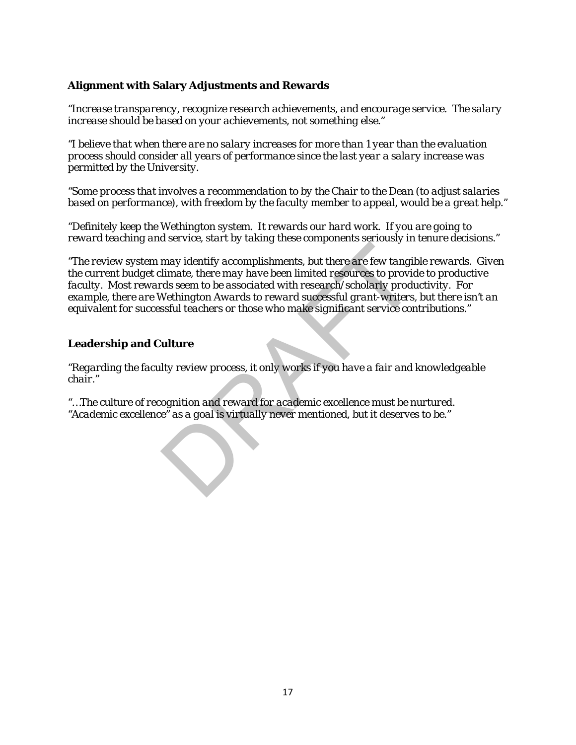# **Alignment with Salary Adjustments and Rewards**

*"Increase transparency, recognize research achievements, and encourage service. The salary increase should be based on your achievements, not something else."*

*"I believe that when there are no salary increases for more than 1 year than the evaluation process should consider all years of performance since the last year a salary increase was permitted by the University.*

*"Some process that involves a recommendation to by the Chair to the Dean (to adjust salaries based on performance), with freedom by the faculty member to appeal, would be a great help."*

"*Definitely keep the Wethington system. It rewards our hard work. If you are going to reward teaching and service, start by taking these components seriously in tenure decisions."*

*"The review system may identify accomplishments, but there are few tangible rewards. Given the current budget climate, there may have been limited resources to provide to productive faculty. Most rewards seem to be associated with research/scholarly productivity. For example, there are Wethington Awards to reward successful grant-writers, but there isn't an equivalent for successful teachers or those who make significant service contributions."* may identify accomplishments, but there are few tangil<br>limate, there may have been limited resources to provid<br>limate, there may have been limited resources to provide<br>wethington Awards to reward successful grant-writers,<br>

## **Leadership and Culture**

*"Regarding the faculty review process, it only works if you have a fair and knowledgeable chair."*

*"…The culture of recognition and reward for academic excellence must be nurtured. "Academic excellence" as a goal is virtually never mentioned, but it deserves to be."*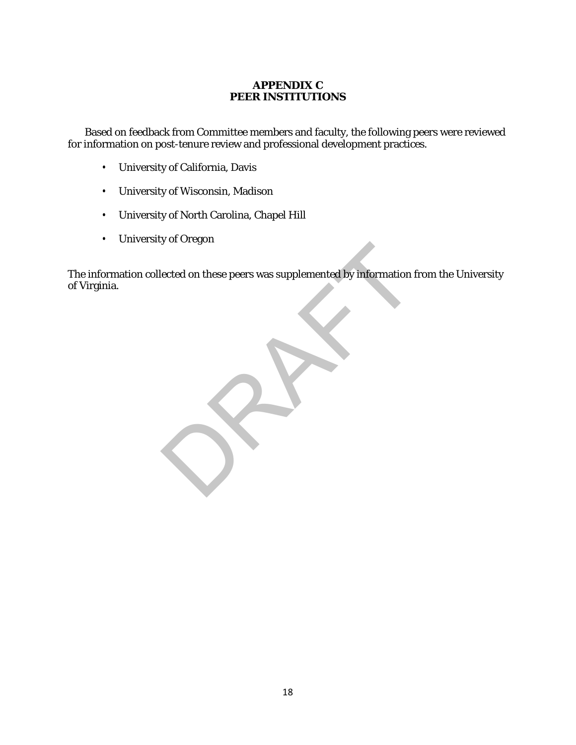## **APPENDIX C PEER INSTITUTIONS**

Based on feedback from Committee members and faculty, the following peers were reviewed for information on post-tenure review and professional development practices.

- University of California, Davis
- University of Wisconsin, Madison
- University of North Carolina, Chapel Hill
- University of Oregon

The information collected on these peers was supplemented by information from the University of Virginia. ected on these peers was supplemented by information for the set of the set of the set of the set of the set of the set of the set of the set of the set of the set of the set of the set of the set of the set of the set of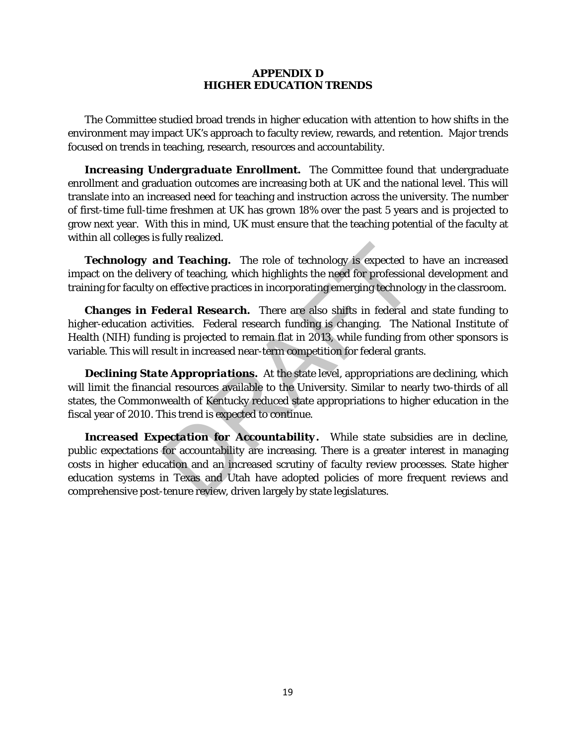#### **APPENDIX D HIGHER EDUCATION TRENDS**

The Committee studied broad trends in higher education with attention to how shifts in the environment may impact UK's approach to faculty review, rewards, and retention. Major trends focused on trends in teaching, research, resources and accountability.

**Increasing Undergraduate Enrollment.** The Committee found that undergraduate enrollment and graduation outcomes are increasing both at UK and the national level. This will translate into an increased need for teaching and instruction across the university. The number of first-time full-time freshmen at UK has grown 18% over the past 5 years and is projected to grow next year. With this in mind, UK must ensure that the teaching potential of the faculty at within all colleges is fully realized.

**Technology and Teaching.** The role of technology is expected to have an increased impact on the delivery of teaching, which highlights the need for professional development and training for faculty on effective practices in incorporating emerging technology in the classroom.

*Changes in Federal Research.* There are also shifts in federal and state funding to higher-education activities. Federal research funding is changing. The National Institute of Health (NIH) funding is projected to remain flat in 2013, while funding from other sponsors is variable. This will result in increased near-term competition for federal grants.

**Declining State Appropriations.** At the state level, appropriations are declining, which will limit the financial resources available to the University. Similar to nearly two-thirds of all states, the Commonwealth of Kentucky reduced state appropriations to higher education in the fiscal year of 2010. This trend is expected to continue.

*Increased Expectation for Accountability***.** While state subsidies are in decline, public expectations for accountability are increasing. There is a greater interest in managing costs in higher education and an increased scrutiny of faculty review processes. State higher education systems in Texas and Utah have adopted policies of more frequent reviews and comprehensive post-tenure review, driven largely by state legislatures. **Independent Transform of the Control of the Control of the search tends of the tends of the search in effective practices in incorporating emerging technology is expected to remain flat incorporating emerging technology i**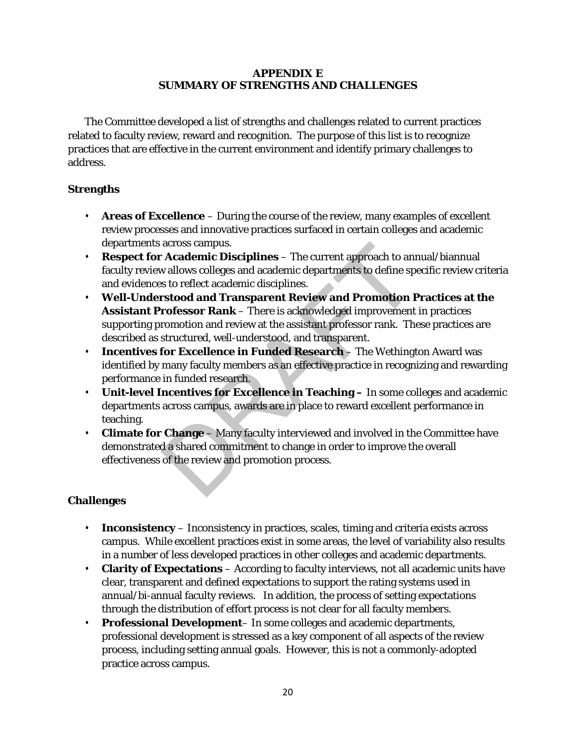### **APPENDIX E SUMMARY OF STRENGTHS AND CHALLENGES**

The Committee developed a list of strengths and challenges related to current practices related to faculty review, reward and recognition. The purpose of this list is to recognize practices that are effective in the current environment and identify primary challenges to address.

# **Strengths**

- **Areas of Excellence**  During the course of the review, many examples of excellent review processes and innovative practices surfaced in certain colleges and academic departments across campus.
- **Respect for Academic Disciplines** The current approach to annual/biannual faculty review allows colleges and academic departments to define specific review criteria and evidences to reflect academic disciplines.
- **Well-Understood and Transparent Review and Promotion Practices at the Assistant Professor Rank** – There is acknowledged improvement in practices supporting promotion and review at the assistant professor rank. These practices are described as structured, well-understood, and transparent. across campus.<br> **Academic Disciplines** – The current approach to and<br>
w allows colleges and academic departments to define sp<br>
s to reflect academic disciplines.<br> **Extod and Transparent Review and Promotion I**<br> **rofessor R**
- **Incentives for Excellence in Funded Research**  The Wethington Award was identified by many faculty members as an effective practice in recognizing and rewarding performance in funded research.
- **Unit-level Incentives for Excellence in Teaching –** In some colleges and academic departments across campus, awards are in place to reward excellent performance in teaching.
- **Climate for Change** Many faculty interviewed and involved in the Committee have demonstrated a shared commitment to change in order to improve the overall effectiveness of the review and promotion process.

# **Challenges**

- **Inconsistency**  Inconsistency in practices, scales, timing and criteria exists across campus. While excellent practices exist in some areas, the level of variability also results in a number of less developed practices in other colleges and academic departments.
- **Clarity of Expectations**  According to faculty interviews, not all academic units have clear, transparent and defined expectations to support the rating systems used in annual/bi-annual faculty reviews. In addition, the process of setting expectations through the distribution of effort process is not clear for all faculty members.
- **Professional Development** In some colleges and academic departments, professional development is stressed as a key component of all aspects of the review process, including setting annual goals. However, this is not a commonly-adopted practice across campus.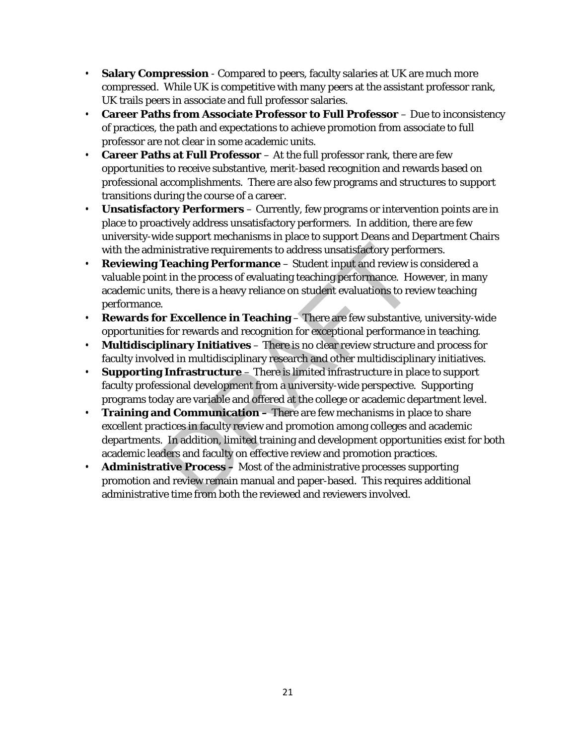- **Salary Compression**  Compared to peers, faculty salaries at UK are much more compressed. While UK is competitive with many peers at the assistant professor rank, UK trails peers in associate and full professor salaries.
- **Career Paths from Associate Professor to Full Professor** Due to inconsistency of practices, the path and expectations to achieve promotion from associate to full professor are not clear in some academic units.
- **Career Paths at Full Professor**  At the full professor rank, there are few opportunities to receive substantive, merit-based recognition and rewards based on professional accomplishments. There are also few programs and structures to support transitions during the course of a career.
- **Unsatisfactory Performers**  Currently, few programs or intervention points are in place to proactively address unsatisfactory performers. In addition, there are few university-wide support mechanisms in place to support Deans and Department Chairs with the administrative requirements to address unsatisfactory performers.
- **Reviewing Teaching Performance**  Student input and review is considered a valuable point in the process of evaluating teaching performance. However, in many academic units, there is a heavy reliance on student evaluations to review teaching performance. imistrative requirements to address unsatisfactory performant conductions in the process of evaluating teaching performance. Hot<br>is, there is a heavy reliance on student evaluations to review is<br>it, there is a heavy relian
- **Rewards for Excellence in Teaching**  There are few substantive, university-wide opportunities for rewards and recognition for exceptional performance in teaching.
- **Multidisciplinary Initiatives** There is no clear review structure and process for faculty involved in multidisciplinary research and other multidisciplinary initiatives.
- **Supporting Infrastructure**  There is limited infrastructure in place to support faculty professional development from a university-wide perspective. Supporting programs today are variable and offered at the college or academic department level.
- **Training and Communication –** There are few mechanisms in place to share excellent practices in faculty review and promotion among colleges and academic departments. In addition, limited training and development opportunities exist for both academic leaders and faculty on effective review and promotion practices.
- **Administrative Process –** Most of the administrative processes supporting promotion and review remain manual and paper-based. This requires additional administrative time from both the reviewed and reviewers involved.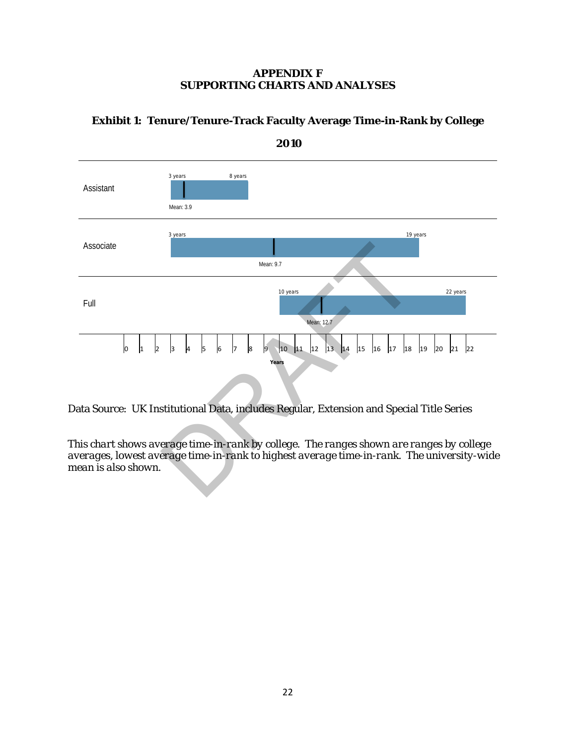### **APPENDIX F SUPPORTING CHARTS AND ANALYSES**



# **Exhibit 1: Tenure/Tenure-Track Faculty Average Time-in-Rank by College**

Data Source: UK Institutional Data, includes Regular, Extension and Special Title Series

*This chart shows average time-in-rank by college. The ranges shown are ranges by college averages, lowest average time-in-rank to highest average time-in-rank. The university-wide mean is also shown.*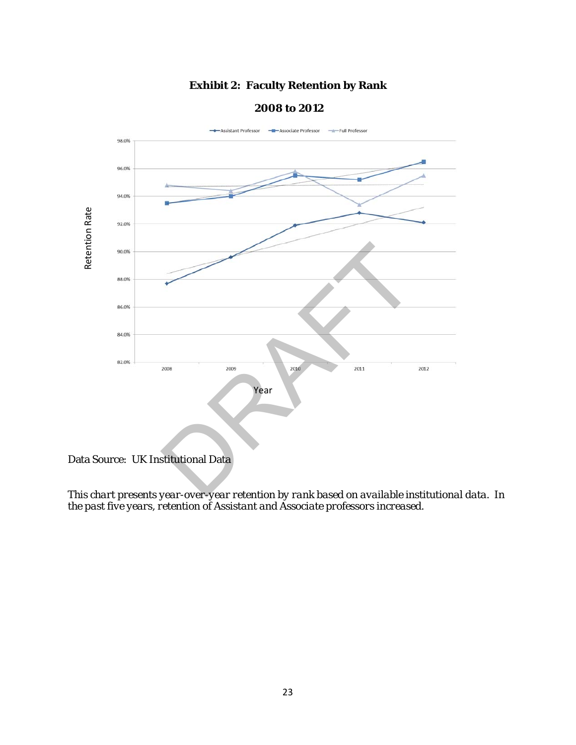# **Exhibit 2: Faculty Retention by Rank**



#### **2008 to 2012**

Data Source: UK Institutional Data

*This chart presents year-over-year retention by rank based on available institutional data. In*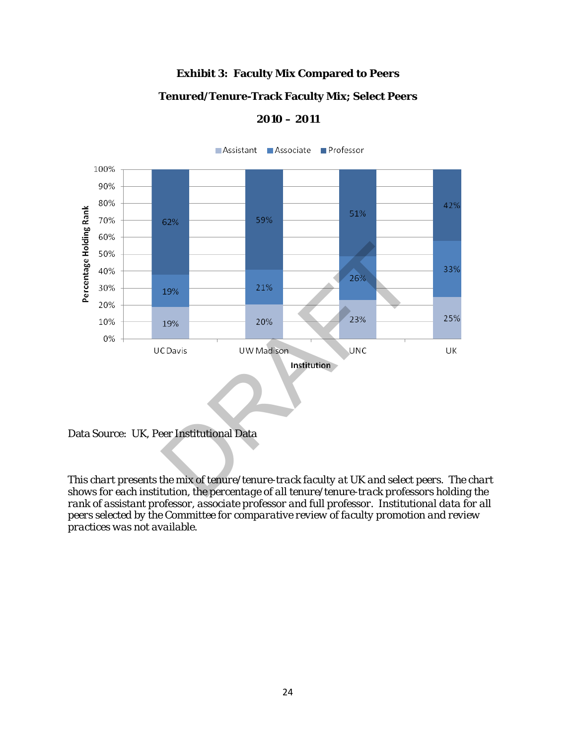# **Exhibit 3: Faculty Mix Compared to Peers**

### **Tenured/Tenure-Track Faculty Mix; Select Peers**

#### **2010 – 2011**



Data Source: UK, Peer Institutional Data

*This chart presents the mix of tenure/tenure-track faculty at UK and select peers. The chart shows for each institution, the percentage of all tenure/tenure-track professors holding the rank of assistant professor, associate professor and full professor. Institutional data for all peers selected by the Committee for comparative review of faculty promotion and review practices was not available.*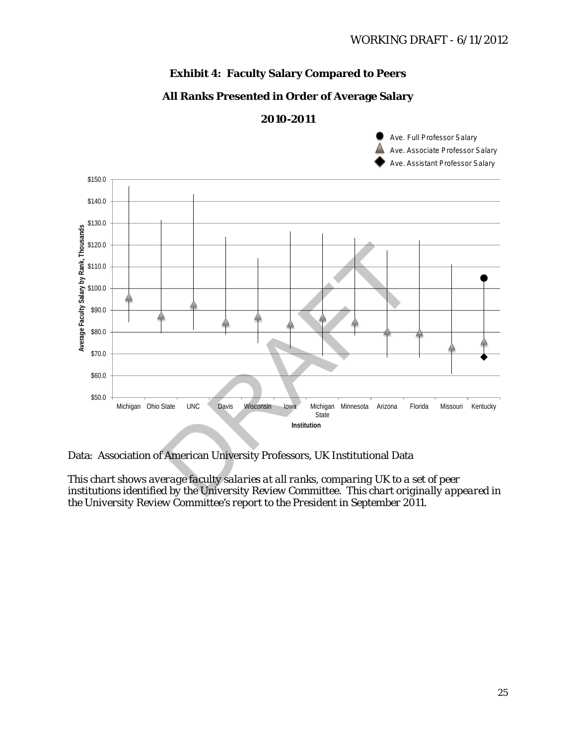### **Exhibit 4: Faculty Salary Compared to Peers**

### **All Ranks Presented in Order of Average Salary**

#### **2010-2011**

Ave. Full Professor Salary Ave. Associate Professor Salary Ave. Assistant Professor Salary



Data: Association of American University Professors, UK Institutional Data

*This chart shows average faculty salaries at all ranks, comparing UK to a set of peer institutions identified by the University Review Committee. This chart originally appeared in the University Review Committee's report to the President in September 2011.*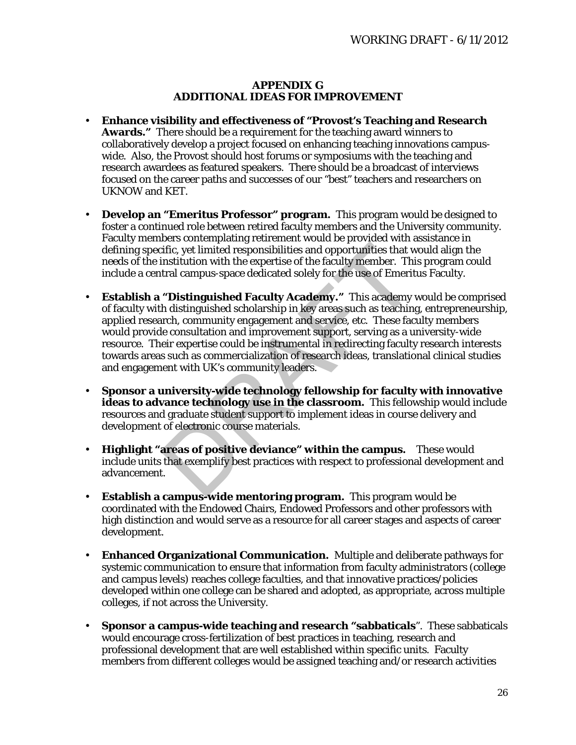#### **APPENDIX G ADDITIONAL IDEAS FOR IMPROVEMENT**

- **Enhance visibility and effectiveness of "Provost's Teaching and Research Awards."** There should be a requirement for the teaching award winners to collaboratively develop a project focused on enhancing teaching innovations campuswide. Also, the Provost should host forums or symposiums with the teaching and research awardees as featured speakers. There should be a broadcast of interviews focused on the career paths and successes of our "best" teachers and researchers on UKNOW and KET.
- **Develop an "Emeritus Professor" program.** This program would be designed to foster a continued role between retired faculty members and the University community. Faculty members contemplating retirement would be provided with assistance in defining specific, yet limited responsibilities and opportunities that would align the needs of the institution with the expertise of the faculty member. This program could include a central campus-space dedicated solely for the use of Emeritus Faculty.
- **Establish a "Distinguished Faculty Academy."** This academy would be comprised of faculty with distinguished scholarship in key areas such as teaching, entrepreneurship, applied research, community engagement and service, etc. These faculty members would provide consultation and improvement support, serving as a university-wide resource. Their expertise could be instrumental in redirecting faculty research interests towards areas such as commercialization of research ideas, translational clinical studies and engagement with UK's community leaders. Fific, yet limited responsibilities and opportunities that winstitution with the expertise of the faculty member. This trail campus-space dedicated solely for the use of Emerit<br> **"Distinguished Faculty Academy."** This acad
- **Sponsor a university-wide technology fellowship for faculty with innovative ideas to advance technology use in the classroom.** This fellowship would include resources and graduate student support to implement ideas in course delivery and development of electronic course materials.
- **Highlight "areas of positive deviance" within the campus.** These would include units that exemplify best practices with respect to professional development and advancement.
- **Establish a campus-wide mentoring program.** This program would be coordinated with the Endowed Chairs, Endowed Professors and other professors with high distinction and would serve as a resource for all career stages and aspects of career development.
- **Enhanced Organizational Communication.** Multiple and deliberate pathways for systemic communication to ensure that information from faculty administrators (college and campus levels) reaches college faculties, and that innovative practices/policies developed within one college can be shared and adopted, as appropriate, across multiple colleges, if not across the University.
- **Sponsor a campus-wide teaching and research "sabbaticals**". These sabbaticals would encourage cross-fertilization of best practices in teaching, research and professional development that are well established within specific units. Faculty members from different colleges would be assigned teaching and/or research activities